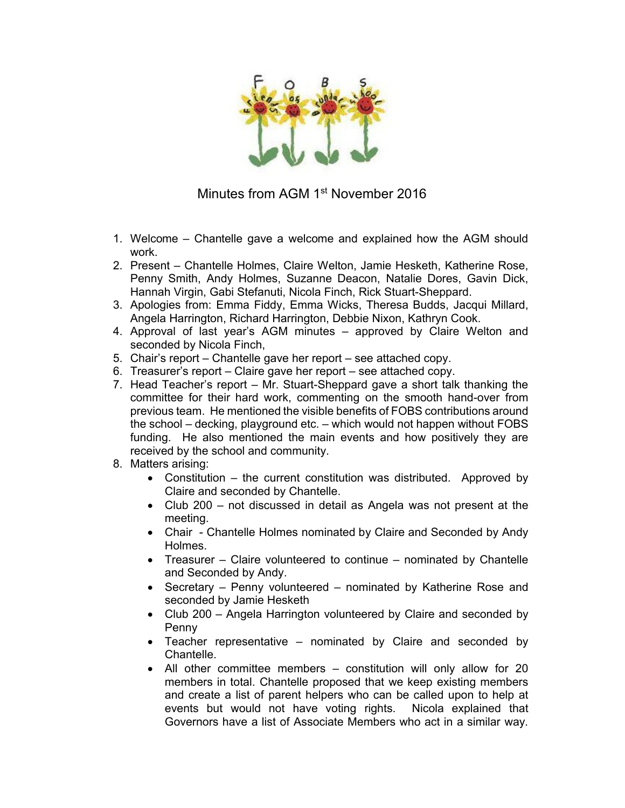

Minutes from AGM 1<sup>st</sup> November 2016

- 1. Welcome Chantelle gave a welcome and explained how the AGM should work.
- 2. Present Chantelle Holmes, Claire Welton, Jamie Hesketh, Katherine Rose, Penny Smith, Andy Holmes, Suzanne Deacon, Natalie Dores, Gavin Dick, Hannah Virgin, Gabi Stefanuti, Nicola Finch, Rick Stuart-Sheppard.
- 3. Apologies from: Emma Fiddy, Emma Wicks, Theresa Budds, Jacqui Millard, Angela Harrington, Richard Harrington, Debbie Nixon, Kathryn Cook.
- 4. Approval of last year's AGM minutes approved by Claire Welton and seconded by Nicola Finch,
- 5. Chair's report Chantelle gave her report see attached copy.
- 6. Treasurer's report Claire gave her report see attached copy.
- 7. Head Teacher's report Mr. Stuart-Sheppard gave a short talk thanking the committee for their hard work, commenting on the smooth hand-over from previous team. He mentioned the visible benefits of FOBS contributions around the school – decking, playground etc. – which would not happen without FOBS funding. He also mentioned the main events and how positively they are received by the school and community.
- 8. Matters arising:
	- Constitution the current constitution was distributed. Approved by Claire and seconded by Chantelle.
	- Club 200 not discussed in detail as Angela was not present at the meeting.
	- Chair Chantelle Holmes nominated by Claire and Seconded by Andy Holmes.
	- Treasurer Claire volunteered to continue nominated by Chantelle and Seconded by Andy.
	- Secretary Penny volunteered nominated by Katherine Rose and seconded by Jamie Hesketh
	- Club 200 Angela Harrington volunteered by Claire and seconded by Penny
	- Teacher representative nominated by Claire and seconded by Chantelle.
	- All other committee members constitution will only allow for 20 members in total. Chantelle proposed that we keep existing members and create a list of parent helpers who can be called upon to help at events but would not have voting rights. Nicola explained that Governors have a list of Associate Members who act in a similar way.